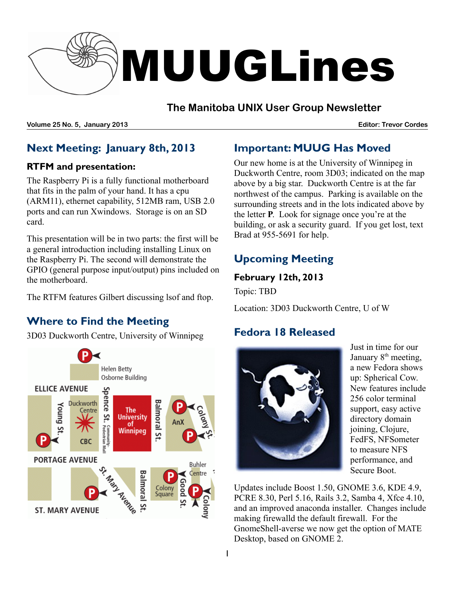

## **The Manitoba UNIX User Group Newsletter**

**Volume 25 No. 5, January 2013 Editor: Trevor Cordes**

# **Next Meeting: January 8th, 2013**

### **RTFM and presentation:**

The Raspberry Pi is a fully functional motherboard that fits in the palm of your hand. It has a cpu (ARM11), ethernet capability, 512MB ram, USB 2.0 ports and can run Xwindows. Storage is on an SD card.

This presentation will be in two parts: the first will be a general introduction including installing Linux on the Raspberry Pi. The second will demonstrate the GPIO (general purpose input/output) pins included on the motherboard.

The RTFM features Gilbert discussing lsof and ftop.

# **Where to Find the Meeting**

3D03 Duckworth Centre, University of Winnipeg



# **Important: MUUG Has Moved**

Our new home is at the University of Winnipeg in Duckworth Centre, room 3D03; indicated on the map above by a big star. Duckworth Centre is at the far northwest of the campus. Parking is available on the surrounding streets and in the lots indicated above by the letter **P**. Look for signage once you're at the building, or ask a security guard. If you get lost, text Brad at 955-5691 for help.

# **Upcoming Meeting**

### **February 12th, 2013**

Topic: TBD

Location: 3D03 Duckworth Centre, U of W

# **Fedora 18 Released**



Just in time for our January 8<sup>th</sup> meeting, a new Fedora shows up: Spherical Cow. New features include 256 color terminal support, easy active directory domain joining, Clojure, FedFS, NFSometer to measure NFS performance, and Secure Boot.

Updates include Boost 1.50, GNOME 3.6, KDE 4.9, PCRE 8.30, Perl 5.16, Rails 3.2, Samba 4, Xfce 4.10, and an improved anaconda installer. Changes include making firewalld the default firewall. For the GnomeShell-averse we now get the option of MATE Desktop, based on GNOME 2.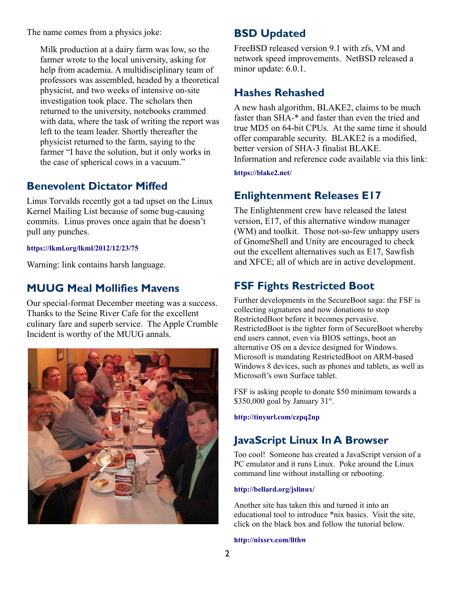The name comes from a physics joke:

Milk production at a dairy farm was low, so the farmer wrote to the local university, asking for help from academia. A multidisciplinary team of professors was assembled, headed by a theoretical physicist, and two weeks of intensive on-site investigation took place. The scholars then returned to the university, notebooks crammed with data, where the task of writing the report was left to the team leader. Shortly thereafter the physicist returned to the farm, saying to the farmer "I have the solution, but it only works in the case of spherical cows in a vacuum."

## **Benevolent Dictator Miffed**

Linus Torvalds recently got a tad upset on the Linux Kernel Mailing List because of some bug-causing commits. Linus proves once again that he doesn't pull any punches.

#### **<https://lkml.org/lkml/2012/12/23/75>**

Warning: link contains harsh language.

### **MUUG Meal Mollifies Mavens**

Our special-format December meeting was a success. Thanks to the Seine River Cafe for the excellent culinary fare and superb service. The Apple Crumble Incident is worthy of the MUUG annals.



# **BSD Updated**

FreeBSD released version 9.1 with zfs, VM and network speed improvements. NetBSD released a minor update: 6.0.1.

## **Hashes Rehashed**

A new hash algorithm, BLAKE2, claims to be much faster than SHA-\* and faster than even the tried and true MD5 on 64-bit CPUs. At the same time it should offer comparable security. BLAKE2 is a modified, better version of SHA-3 finalist BLAKE. Information and reference code available via this link:

**<https://blake2.net/>**

## **Enlightenment Releases E17**

The Enlightenment crew have released the latest version, E17, of this alternative window manager (WM) and toolkit. Those not-so-few unhappy users of GnomeShell and Unity are encouraged to check out the excellent alternatives such as E17, Sawfish and XFCE; all of which are in active development.

# **FSF Fights Restricted Boot**

Further developments in the SecureBoot saga: the FSF is collecting signatures and now donations to stop RestrictedBoot before it becomes pervasive. RestrictedBoot is the tighter form of SecureBoot whereby end users cannot, even via BIOS settings, boot an alternative OS on a device designed for Windows. Microsoft is mandating RestrictedBoot on ARM-based Windows 8 devices, such as phones and tablets, as well as Microsoft's own Surface tablet.

FSF is asking people to donate \$50 minimum towards a  $$350,000$  goal by January  $31$ <sup>st</sup>.

**http://tinyurl.com/czpq2np**

# **JavaScript Linux In A Browser**

Too cool! Someone has created a JavaScript version of a PC emulator and it runs Linux. Poke around the Linux command line without installing or rebooting.

#### **<http://bellard.org/jslinux/>**

Another site has taken this and turned it into an educational tool to introduce \*nix basics. Visit the site, click on the black box and follow the tutorial below.

#### **<http://nixsrv.com/llthw>**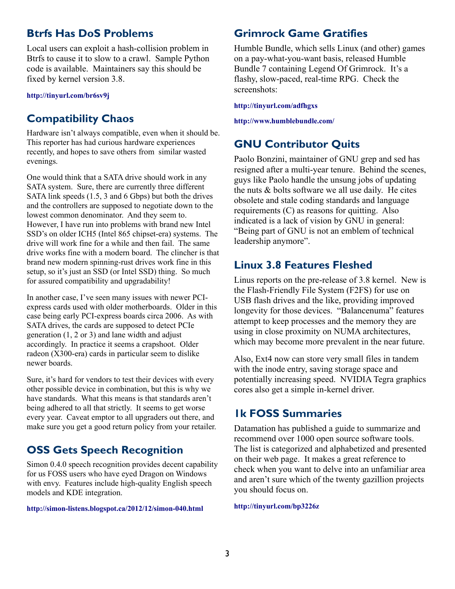## **Btrfs Has DoS Problems**

Local users can exploit a hash-collision problem in Btrfs to cause it to slow to a crawl. Sample Python code is available. Maintainers say this should be fixed by kernel version 3.8.

#### **http://tinyurl.com/br6sv9j**

## **Compatibility Chaos**

Hardware isn't always compatible, even when it should be. This reporter has had curious hardware experiences recently, and hopes to save others from similar wasted evenings.

One would think that a SATA drive should work in any SATA system. Sure, there are currently three different SATA link speeds (1.5, 3 and 6 Gbps) but both the drives and the controllers are supposed to negotiate down to the lowest common denominator. And they seem to. However, I have run into problems with brand new Intel SSD's on older ICH5 (Intel 865 chipset-era) systems. The drive will work fine for a while and then fail. The same drive works fine with a modern board. The clincher is that brand new modern spinning-rust drives work fine in this setup, so it's just an SSD (or Intel SSD) thing. So much for assured compatibility and upgradability!

In another case, I've seen many issues with newer PCIexpress cards used with older motherboards. Older in this case being early PCI-express boards circa 2006. As with SATA drives, the cards are supposed to detect PCIe generation (1, 2 or 3) and lane width and adjust accordingly. In practice it seems a crapshoot. Older radeon (X300-era) cards in particular seem to dislike newer boards.

Sure, it's hard for vendors to test their devices with every other possible device in combination, but this is why we have standards. What this means is that standards aren't being adhered to all that strictly. It seems to get worse every year. Caveat emptor to all upgraders out there, and make sure you get a good return policy from your retailer.

## **OSS Gets Speech Recognition**

Simon 0.4.0 speech recognition provides decent capability for us FOSS users who have eyed Dragon on Windows with envy. Features include high-quality English speech models and KDE integration.

**<http://simon-listens.blogspot.ca/2012/12/simon-040.html>**

### **Grimrock Game Gratifies**

Humble Bundle, which sells Linux (and other) games on a pay-what-you-want basis, released Humble Bundle 7 containing Legend Of Grimrock. It's a flashy, slow-paced, real-time RPG. Check the screenshots:

**<http://tinyurl.com/adfhgxs>**

**http://www.humblebundle.com/**

# **GNU Contributor Quits**

Paolo Bonzini, maintainer of GNU grep and sed has resigned after a multi-year tenure. Behind the scenes, guys like Paolo handle the unsung jobs of updating the nuts & bolts software we all use daily. He cites obsolete and stale coding standards and language requirements (C) as reasons for quitting. Also indicated is a lack of vision by GNU in general: "Being part of GNU is not an emblem of technical leadership anymore".

### **Linux 3.8 Features Fleshed**

Linus reports on the pre-release of 3.8 kernel. New is the Flash-Friendly File System (F2FS) for use on USB flash drives and the like, providing improved longevity for those devices. "Balancenuma" features attempt to keep processes and the memory they are using in close proximity on NUMA architectures, which may become more prevalent in the near future.

Also, Ext4 now can store very small files in tandem with the inode entry, saving storage space and potentially increasing speed. NVIDIA Tegra graphics cores also get a simple in-kernel driver.

## **1k FOSS Summaries**

Datamation has published a guide to summarize and recommend over 1000 open source software tools. The list is categorized and alphabetized and presented on their web page. It makes a great reference to check when you want to delve into an unfamiliar area and aren't sure which of the twenty gazillion projects you should focus on.

**<http://tinyurl.com/bp3226z>**